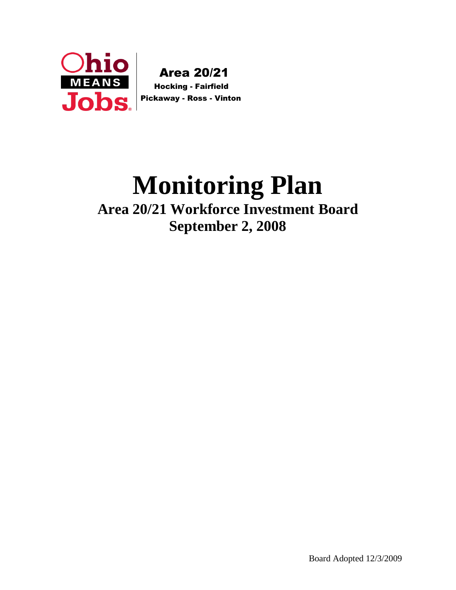

 Area 20/21 Hocking - Fairfield

# **Monitoring Plan Area 20/21 Workforce Investment Board September 2, 2008**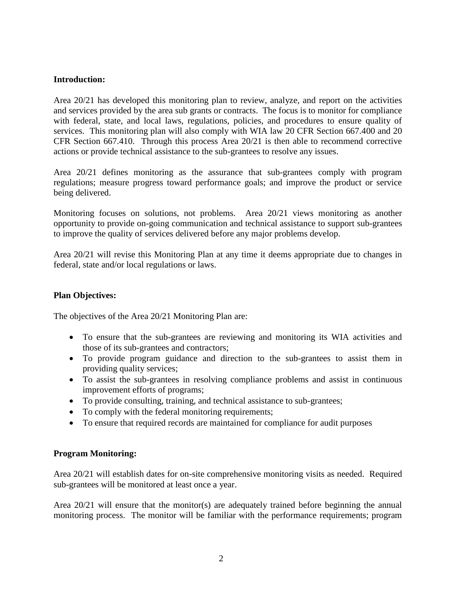## **Introduction:**

Area 20/21 has developed this monitoring plan to review, analyze, and report on the activities and services provided by the area sub grants or contracts. The focus is to monitor for compliance with federal, state, and local laws, regulations, policies, and procedures to ensure quality of services. This monitoring plan will also comply with WIA law 20 CFR Section 667.400 and 20 CFR Section 667.410. Through this process Area 20/21 is then able to recommend corrective actions or provide technical assistance to the sub-grantees to resolve any issues.

Area 20/21 defines monitoring as the assurance that sub-grantees comply with program regulations; measure progress toward performance goals; and improve the product or service being delivered.

Monitoring focuses on solutions, not problems. Area 20/21 views monitoring as another opportunity to provide on-going communication and technical assistance to support sub-grantees to improve the quality of services delivered before any major problems develop.

Area 20/21 will revise this Monitoring Plan at any time it deems appropriate due to changes in federal, state and/or local regulations or laws.

## **Plan Objectives:**

The objectives of the Area 20/21 Monitoring Plan are:

- To ensure that the sub-grantees are reviewing and monitoring its WIA activities and those of its sub-grantees and contractors;
- To provide program guidance and direction to the sub-grantees to assist them in providing quality services;
- To assist the sub-grantees in resolving compliance problems and assist in continuous improvement efforts of programs;
- To provide consulting, training, and technical assistance to sub-grantees;
- To comply with the federal monitoring requirements;
- To ensure that required records are maintained for compliance for audit purposes

## **Program Monitoring:**

Area 20/21 will establish dates for on-site comprehensive monitoring visits as needed. Required sub-grantees will be monitored at least once a year.

Area  $20/21$  will ensure that the monitor(s) are adequately trained before beginning the annual monitoring process. The monitor will be familiar with the performance requirements; program